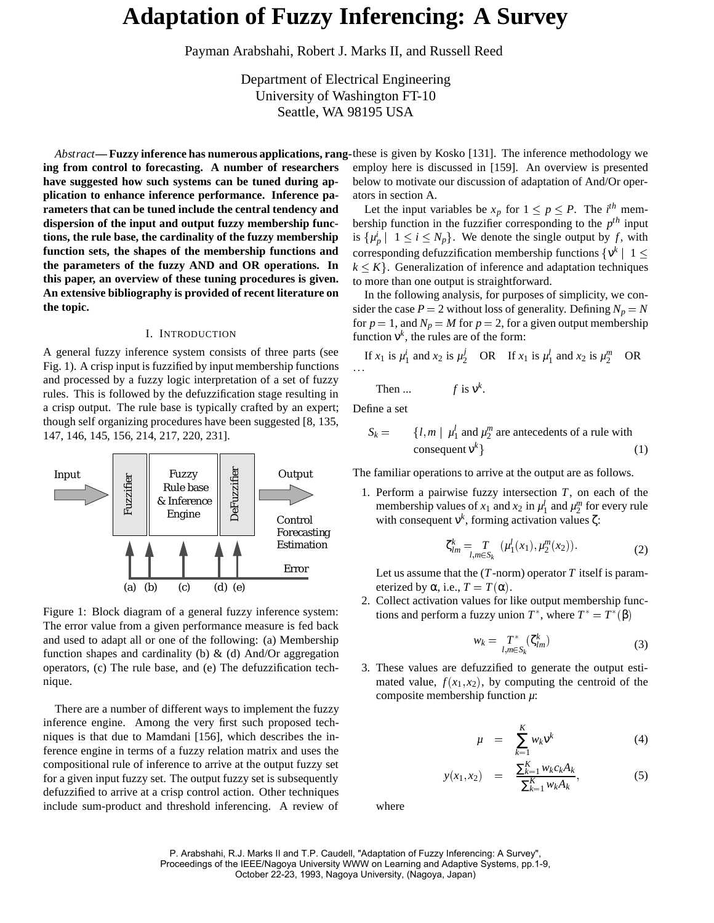# **Adaptation of Fuzzy Inferencing: A Survey**

Payman Arabshahi, Robert J. Marks II, and Russell Reed

Department of Electrical Engineering University of Washington FT-10 Seattle, WA 98195 USA

**ing from control to forecasting. A number of researchers have suggested how such systems can be tuned during application to enhance inference performance. Inference parameters that can be tuned include the central tendency and dispersion of the input and output fuzzy membership functions, the rule base, the cardinality of the fuzzy membership function sets, the shapes of the membership functions and the parameters of the fuzzy AND and OR operations. In this paper, an overview of these tuning procedures is given. An extensive bibliography is provided of recent literature on the topic.**

#### I. INTRODUCTION

A general fuzzy inference system consists of three parts (see Fig. 1). A crisp input is fuzzified by input membership functions and processed by a fuzzy logic interpretation of a set of fuzzy rules. This is followed by the defuzzification stage resulting in a crisp output. The rule base is typically crafted by an expert; though self organizing procedures have been suggested [8, 135, 147, 146, 145, 156, 214, 217, 220, 231].



Figure 1: Block diagram of a general fuzzy inference system: The error value from a given performance measure is fed back and used to adapt all or one of the following: (a) Membership function shapes and cardinality (b)  $\&$  (d) And/Or aggregation operators, (c) The rule base, and (e) The defuzzification technique.

There are a number of different ways to implement the fuzzy inference engine. Among the very first such proposed techniques is that due to Mamdani [156], which describes the inference engine in terms of a fuzzy relation matrix and uses the compositional rule of inference to arrive at the output fuzzy set for a given input fuzzy set. The output fuzzy set is subsequently defuzzified to arrive at a crisp control action. Other techniques include sum-product and threshold inferencing. A review of

*Abstract***— Fuzzy inference has numerous applications, rang-**these is given by Kosko [131]. The inference methodology we employ here is discussed in [159]. An overview is presented below to motivate our discussion of adaptation of And/Or operators in section A..

> Let the input variables be  $x_p$  for  $1 \le p \le P$ . The *i*<sup>th</sup> membership function in the fuzzifier corresponding to the *pth* input is  $\{\mu_p^i \mid 1 \le i \le N_p\}$ . We denote the single output by f, with corresponding defuzzification membership functions  $\{v^k \mid 1 \leq$  $k \leq K$ . Generalization of inference and adaptation techniques to more than one output is straightforward.

> In the following analysis, for purposes of simplicity, we consider the case  $P = 2$  without loss of generality. Defining  $N_p = N$ for  $p = 1$ , and  $N_p = M$  for  $p = 2$ , for a given output membership function  $v^k$ , the rules are of the form:

If 
$$
x_1
$$
 is  $\mu_1^i$  and  $x_2$  is  $\mu_2^j$  OR If  $x_1$  is  $\mu_1^l$  and  $x_2$  is  $\mu_2^m$  OR

Then ... 
$$
f
$$
 is  $v^k$ .

Define a set

$$
S_k = \{l, m \mid \mu_1^l \text{ and } \mu_2^m \text{ are antecedents of a rule with}
$$
  
consequent  $v^k$  } (1)

The familiar operations to arrive at the output are as follows.

1. Perform a pairwise fuzzy intersection *T*, on each of the membership values of  $x_1$  and  $x_2$  in  $\mu_1^l$  and  $\mu_2^m$  for every rule with consequent  $v^k$ , forming activation values  $\zeta$ :

$$
\zeta_{lm}^k = T_{l,m \in S_k} (\mu_1^l(x_1), \mu_2^m(x_2)).
$$
 (2)

Let us assume that the  $(T\text{-norm})$  operator  $T$  itself is parameterized by  $\alpha$ , i.e.,  $T = T(\alpha)$ .

2. Collect activation values for like output membership functions and perform a fuzzy union  $T^*$ , where  $T^* = T^*(\beta)$ 

$$
w_k = \underset{l,m \in S_k}{T^*} (\zeta_{lm}^k) \tag{3}
$$

3. These values are defuzzified to generate the output estimated value,  $f(x_1, x_2)$ , by computing the centroid of the composite membership function *µ*:

$$
\mu = \sum_{k=1}^{K} w_k \mathbf{v}^k \tag{4}
$$

$$
y(x_1, x_2) = \frac{\sum_{k=1}^{K} w_k c_k A_k}{\sum_{k=1}^{K} w_k A_k}, \tag{5}
$$

where

P. Arabshahi, R.J. Marks II and T.P. Caudell, "Adaptation of Fuzzy Inferencing: A Survey", Proceedings of the IEEE/Nagoya University WWW on Learning and Adaptive Systems, pp.1-9, October 22-23, 1993, Nagoya University, (Nagoya, Japan)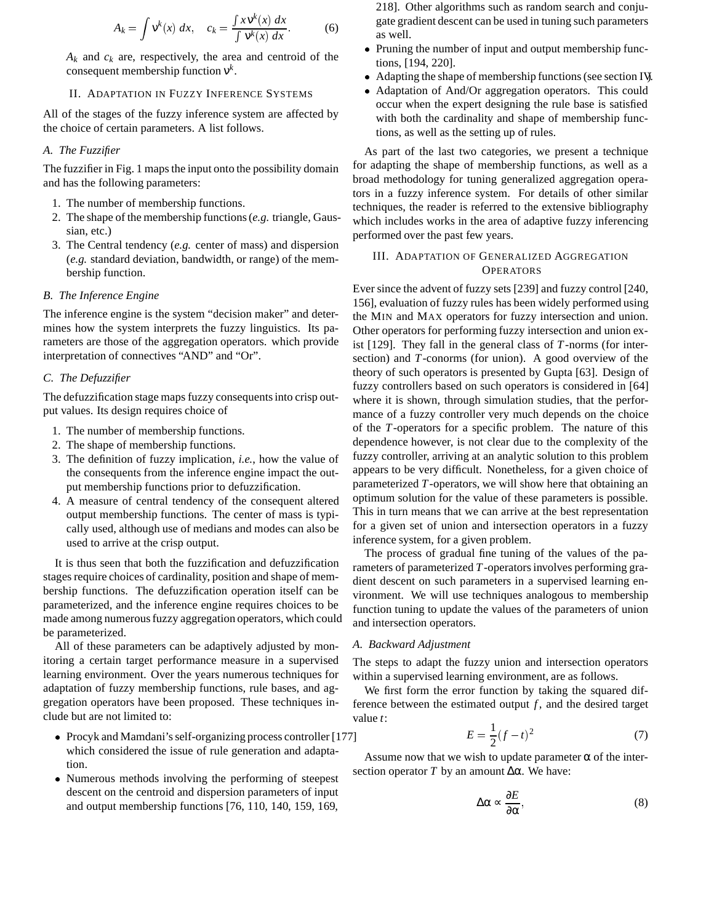$$
A_k = \int \mathsf{v}^k(x) \, dx, \quad c_k = \frac{\int x \mathsf{v}^k(x) \, dx}{\int \mathsf{v}^k(x) \, dx}.\tag{6}
$$

 $A_k$  and  $c_k$  are, respectively, the area and centroid of the consequent membership function ν*k*.

#### II. ADAPTATION IN FUZZY INFERENCE SYSTEMS

All of the stages of the fuzzy inference system are affected by the choice of certain parameters. A list follows.

## *A. The Fuzzifier*

The fuzzifier in Fig. 1 maps the input onto the possibility domain and has the following parameters:

- 1. The number of membership functions.
- 2. The shape of the membership functions (*e.g.* triangle, Gaussian, etc.)
- 3. The Central tendency (*e.g.* center of mass) and dispersion (*e.g.* standard deviation, bandwidth, or range) of the membership function.

## *B. The Inference Engine*

The inference engine is the system "decision maker" and determines how the system interprets the fuzzy linguistics. Its parameters are those of the aggregation operators. which provide interpretation of connectives "AND" and "Or".

## *C. The Defuzzifier*

The defuzzification stage maps fuzzy consequents into crisp output values. Its design requires choice of

- 1. The number of membership functions.
- 2. The shape of membership functions.
- 3. The definition of fuzzy implication, *i.e.*, how the value of the consequents from the inference engine impact the output membership functions prior to defuzzification.
- 4. A measure of central tendency of the consequent altered output membership functions. The center of mass is typically used, although use of medians and modes can also be used to arrive at the crisp output.

It is thus seen that both the fuzzification and defuzzification stages require choices of cardinality, position and shape of membership functions. The defuzzification operation itself can be parameterized, and the inference engine requires choices to be made among numerous fuzzy aggregation operators, which could be parameterized.

All of these parameters can be adaptively adjusted by monitoring a certain target performance measure in a supervised learning environment. Over the years numerous techniques for adaptation of fuzzy membership functions, rule bases, and aggregation operators have been proposed. These techniques include but are not limited to:

- Procyk and Mamdani's self-organizing process controller [177] which considered the issue of rule generation and adaptation.
- Numerous methods involving the performing of steepest descent on the centroid and dispersion parameters of input and output membership functions [76, 110, 140, 159, 169,

218]. Other algorithms such as random search and conjugate gradient descent can be used in tuning such parameters as well.

- Pruning the number of input and output membership functions, [194, 220].
- Adapting the shape of membership functions (see section IV.)
- Adaptation of And/Or aggregation operators. This could occur when the expert designing the rule base is satisfied with both the cardinality and shape of membership functions, as well as the setting up of rules.

As part of the last two categories, we present a technique for adapting the shape of membership functions, as well as a broad methodology for tuning generalized aggregation operators in a fuzzy inference system. For details of other similar techniques, the reader is referred to the extensive bibliography which includes works in the area of adaptive fuzzy inferencing performed over the past few years.

# III. ADAPTATION OF GENERALIZED AGGREGATION **OPERATORS**

Ever since the advent of fuzzy sets [239] and fuzzy control [240, 156], evaluation of fuzzy rules has been widely performed using the MIN and MAX operators for fuzzy intersection and union. Other operators for performing fuzzy intersection and union exist [129]. They fall in the general class of *T*-norms (for intersection) and *T*-conorms (for union). A good overview of the theory of such operators is presented by Gupta [63]. Design of fuzzy controllers based on such operators is considered in [64] where it is shown, through simulation studies, that the performance of a fuzzy controller very much depends on the choice of the *T*-operators for a specific problem. The nature of this dependence however, is not clear due to the complexity of the fuzzy controller, arriving at an analytic solution to this problem appears to be very difficult. Nonetheless, for a given choice of parameterized *T*-operators, we will show here that obtaining an optimum solution for the value of these parameters is possible. This in turn means that we can arrive at the best representation for a given set of union and intersection operators in a fuzzy inference system, for a given problem.

The process of gradual fine tuning of the values of the parameters of parameterized *T*-operators involves performing gradient descent on such parameters in a supervised learning environment. We will use techniques analogous to membership function tuning to update the values of the parameters of union and intersection operators.

### *A. Backward Adjustment*

The steps to adapt the fuzzy union and intersection operators within a supervised learning environment, are as follows.

We first form the error function by taking the squared difference between the estimated output  $f$ , and the desired target value *t*:

$$
E = \frac{1}{2}(f - t)^2
$$
 (7)

Assume now that we wish to update parameter  $\alpha$  of the intersection operator *T* by an amount  $Δα$ . We have:

$$
\Delta \alpha \sim \frac{\partial E}{\partial \alpha},\tag{8}
$$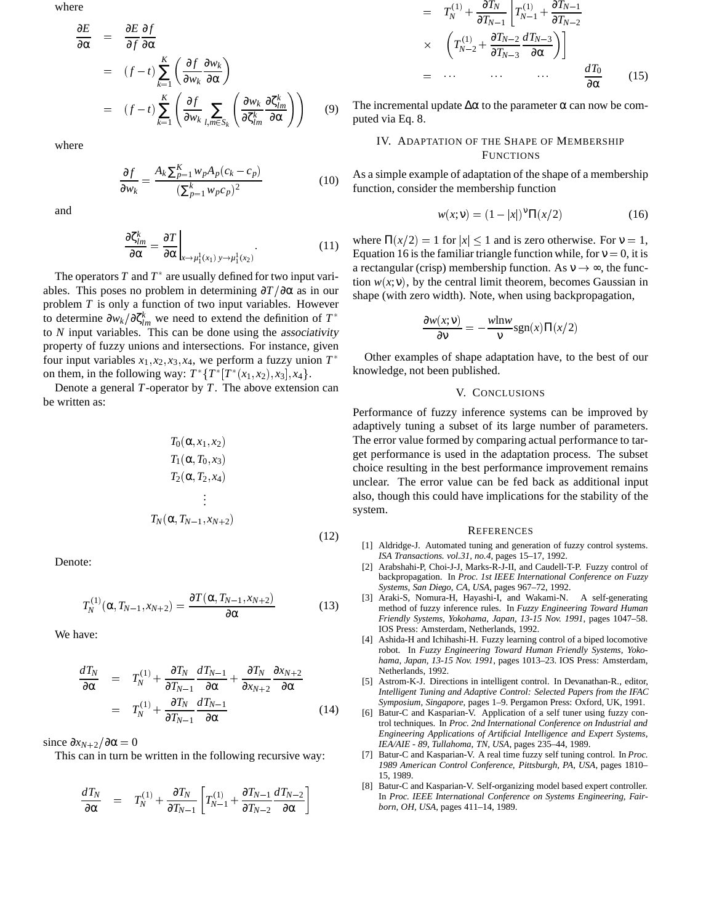where

∂*E*

$$
\frac{\partial E}{\partial \alpha} = \frac{\partial E}{\partial f} \frac{\partial f}{\partial \alpha}
$$
\n
$$
= (f - t) \sum_{k=1}^{K} \left( \frac{\partial f}{\partial w_k} \frac{\partial w_k}{\partial \alpha} \right)
$$
\n
$$
= (f - t) \sum_{k=1}^{K} \left( \frac{\partial f}{\partial w_k} \sum_{l,m \in S_k} \left( \frac{\partial w_k}{\partial \zeta_{lm}^k} \frac{\partial \zeta_{lm}^k}{\partial \alpha} \right) \right) \qquad (9) \quad \text{The given}
$$

where

$$
\frac{\partial f}{\partial w_k} = \frac{A_k \sum_{p=1}^K w_p A_p (c_k - c_p)}{(\sum_{p=1}^K w_p c_p)^2}
$$
(10)

and

$$
\frac{\partial \zeta_{lm}^k}{\partial \alpha} = \frac{\partial T}{\partial \alpha} \bigg|_{x \to \mu_1^1(x_1) y \to \mu_1^1(x_2)}.
$$
\n(11)

The operators  $T$  and  $T^*$  are usually defined for two input variables. This poses no problem in determining  $\frac{\partial T}{\partial \alpha}$  as in our problem *T* is only a function of two input variables. However to determine  $\partial w_k/\partial \zeta_{lm}^k$  we need to extend the definition of  $T^*$ to *N* input variables. This can be done using the associativity property of fuzzy unions and intersections. For instance, given four input variables  $x_1, x_2, x_3, x_4$ , we perform a fuzzy union  $T^*$ on them, in the following way:  $T^{*} \{ T^{*}(x_1, x_2), x_3 \}, x_4 \}.$ 

Denote a general *T*-operator by *T*. The above extension can be written as:

$$
T_0(\alpha, x_1, x_2)
$$
  
\n
$$
T_1(\alpha, T_0, x_3)
$$
  
\n
$$
T_2(\alpha, T_2, x_4)
$$
  
\n
$$
\vdots
$$
  
\n
$$
T_N(\alpha, T_{N-1}, x_{N+2})
$$
  
\n(12)

Denote:

$$
T_N^{(1)}(\alpha, T_{N-1}, x_{N+2}) = \frac{\partial T(\alpha, T_{N-1}, x_{N+2})}{\partial \alpha} \tag{13}
$$

We have:

$$
\frac{dT_N}{\partial \alpha} = T_N^{(1)} + \frac{\partial T_N}{\partial T_{N-1}} \frac{dT_{N-1}}{\partial \alpha} + \frac{\partial T_N}{\partial x_{N+2}} \frac{\partial x_{N+2}}{\partial \alpha} \n= T_N^{(1)} + \frac{\partial T_N}{\partial T_{N-1}} \frac{dT_{N-1}}{\partial \alpha}
$$
\n(14)

since  $\partial x_{N+2}/\partial \alpha = 0$ 

This can in turn be written in the following recursive way:

$$
\frac{dT_N}{\partial \alpha} \quad = \quad T_N^{(1)} + \frac{\partial T_N}{\partial T_{N-1}} \left[ T_{N-1}^{(1)} + \frac{\partial T_{N-1}}{\partial T_{N-2}} \frac{dT_{N-2}}{\partial \alpha} \right]
$$

$$
= T_N^{(1)} + \frac{\partial T_N}{\partial T_{N-1}} \left[ T_{N-1}^{(1)} + \frac{\partial T_{N-1}}{\partial T_{N-2}} \right]
$$
  
\n
$$
\times \left( T_{N-2}^{(1)} + \frac{\partial T_{N-2}}{\partial T_{N-3}} \frac{dT_{N-3}}{\partial \alpha} \right) \Big]
$$
  
\n
$$
= \cdots \qquad \cdots \qquad \frac{dT_0}{\partial \alpha} \qquad (15)
$$

The incremental update  $\Delta \alpha$  to the parameter  $\alpha$  can now be computed via Eq. 8.

IV. ADAPTATION OF THE SHAPE OF MEMBERSHIP **FUNCTIONS** 

As a simple example of adaptation of the shape of a membership function, consider the membership function

$$
w(x; \mathbf{v}) = (1 - |x|)^{\mathbf{v}} \Pi(x/2)
$$
 (16)

where  $\Pi(x/2) = 1$  for  $|x| \le 1$  and is zero otherwise. For  $v = 1$ , Equation 16 is the familiar triangle function while, for  $v = 0$ , it is a rectangular (crisp) membership function. As  $v \rightarrow \infty$ , the function  $w(x;v)$ , by the central limit theorem, becomes Gaussian in shape (with zero width). Note, when using backpropagation,

$$
\frac{\partial w(x; \mathbf{v})}{\partial \mathbf{v}} = -\frac{w \ln w}{\mathbf{v}} \text{sgn}(x) \Pi(x/2)
$$

Other examples of shape adaptation have, to the best of our knowledge, not been published.

#### V. CONCLUSIONS

Performance of fuzzy inference systems can be improved by adaptively tuning a subset of its large number of parameters. The error value formed by comparing actual performance to target performance is used in the adaptation process. The subset choice resulting in the best performance improvement remains unclear. The error value can be fed back as additional input also, though this could have implications for the stability of the system.

#### **REFERENCES**

- [1] Aldridge-J. Automated tuning and generation of fuzzy control systems. *ISA Transactions. vol.31, no.4*, pages 15–17, 1992.
- [2] Arabshahi-P, Choi-J-J, Marks-R-J-II, and Caudell-T-P. Fuzzy control of backpropagation. In *Proc. 1st IEEE International Conference on Fuzzy Systems, San Diego, CA, USA*, pages 967–72, 1992.
- [3] Araki-S, Nomura-H, Hayashi-I, and Wakami-N. A self-generating method of fuzzy inference rules. In *Fuzzy Engineering Toward Human Friendly Systems, Yokohama, Japan, 13-15 Nov. 1991*, pages 1047–58. IOS Press: Amsterdam, Netherlands, 1992.
- [4] Ashida-H and Ichihashi-H. Fuzzy learning control of a biped locomotive robot. In *Fuzzy Engineering Toward Human Friendly Systems, Yokohama, Japan, 13-15 Nov. 1991*, pages 1013–23. IOS Press: Amsterdam, Netherlands, 1992.
- [5] Astrom-K-J. Directions in intelligent control. In Devanathan-R., editor, *Intelligent Tuning and Adaptive Control: Selected Papers from the IFAC Symposium, Singapore*, pages 1–9. Pergamon Press: Oxford, UK, 1991.
- [6] Batur-C and Kasparian-V. Application of a self tuner using fuzzy control techniques. In *Proc. 2nd International Conference on Industrial and Engineering Applications of Artificial Intelligence and Expert Systems, IEA/AIE - 89, Tullahoma, TN, USA*, pages 235–44, 1989.
- [7] Batur-C and Kasparian-V. A real time fuzzy self tuning control. In *Proc. 1989 American Control Conference, Pittsburgh, PA, USA*, pages 1810– 15, 1989.
- [8] Batur-C and Kasparian-V. Self-organizing model based expert controller. In *Proc. IEEE International Conference on Systems Engineering, Fairborn, OH, USA*, pages 411–14, 1989.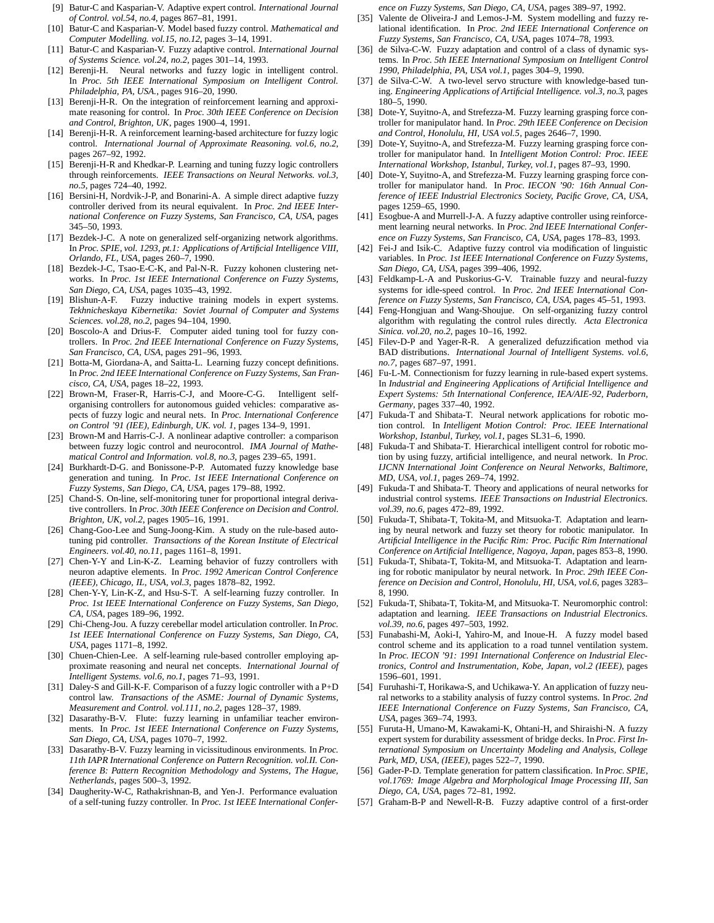- [9] Batur-C and Kasparian-V. Adaptive expert control. *International Journal of Control. vol.54, no.4*, pages 867–81, 1991.
- [10] Batur-C and Kasparian-V. Model based fuzzy control. *Mathematical and Computer Modelling. vol.15, no.12*, pages 3–14, 1991.
- [11] Batur-C and Kasparian-V. Fuzzy adaptive control. *International Journal of Systems Science. vol.24, no.2*, pages 301–14, 1993.
- [12] Berenji-H. Neural networks and fuzzy logic in intelligent control. In *Proc. 5th IEEE International Symposium on Intelligent Control. Philadelphia, PA, USA.*, pages 916–20, 1990.
- [13] Berenji-H-R. On the integration of reinforcement learning and approximate reasoning for control. In *Proc. 30th IEEE Conference on Decision and Control, Brighton, UK*, pages 1900–4, 1991.
- [14] Berenji-H-R. A reinforcement learning-based architecture for fuzzy logic control. *International Journal of Approximate Reasoning. vol.6, no.2*, pages 267–92, 1992.
- [15] Berenji-H-R and Khedkar-P. Learning and tuning fuzzy logic controllers through reinforcements. *IEEE Transactions on Neural Networks. vol.3, no.5*, pages 724–40, 1992.
- [16] Bersini-H, Nordvik-J-P, and Bonarini-A. A simple direct adaptive fuzzy controller derived from its neural equivalent. In *Proc. 2nd IEEE International Conference on Fuzzy Systems, San Francisco, CA, USA*, pages 345–50, 1993.
- [17] Bezdek-J-C. A note on generalized self-organizing network algorithms. In *Proc. SPIE, vol. 1293, pt.1: Applications of Artificial Intelligence VIII, Orlando, FL, USA*, pages 260–7, 1990.
- [18] Bezdek-J-C, Tsao-E-C-K, and Pal-N-R. Fuzzy kohonen clustering networks. In *Proc. 1st IEEE International Conference on Fuzzy Systems, San Diego, CA, USA*, pages 1035–43, 1992.
- [19] Blishun-A-F. Fuzzy inductive training models in expert systems. *Tekhnicheskaya Kibernetika: Soviet Journal of Computer and Systems Sciences. vol.28, no.2*, pages 94–104, 1990.
- [20] Boscolo-A and Drius-F. Computer aided tuning tool for fuzzy controllers. In *Proc. 2nd IEEE International Conference on Fuzzy Systems, San Francisco, CA, USA*, pages 291–96, 1993.
- [21] Botta-M, Giordana-A, and Saitta-L. Learning fuzzy concept definitions. In *Proc. 2nd IEEE International Conference on Fuzzy Systems, San Francisco, CA, USA*, pages 18–22, 1993.
- [22] Brown-M, Fraser-R, Harris-C-J, and Moore-C-G. Intelligent selforganising controllers for autonomous guided vehicles: comparative aspects of fuzzy logic and neural nets. In *Proc. International Conference on Control '91 (IEE), Edinburgh, UK. vol. 1*, pages 134–9, 1991.
- [23] Brown-M and Harris-C-J. A nonlinear adaptive controller: a comparison between fuzzy logic control and neurocontrol. *IMA Journal of Mathematical Control and Information. vol.8, no.3*, pages 239–65, 1991.
- [24] Burkhardt-D-G. and Bonissone-P-P. Automated fuzzy knowledge base generation and tuning. In *Proc. 1st IEEE International Conference on Fuzzy Systems, San Diego, CA, USA*, pages 179–88, 1992.
- [25] Chand-S. On-line, self-monitoring tuner for proportional integral derivative controllers. In *Proc. 30th IEEE Conference on Decision and Control. Brighton, UK, vol.2*, pages 1905–16, 1991.
- [26] Chang-Goo-Lee and Sung-Joong-Kim. A study on the rule-based autotuning pid controller. *Transactions of the Korean Institute of Electrical Engineers. vol.40, no.11*, pages 1161–8, 1991.
- [27] Chen-Y-Y and Lin-K-Z. Learning behavior of fuzzy controllers with neuron adaptive elements. In *Proc. 1992 American Control Conference (IEEE), Chicago, IL, USA, vol.3*, pages 1878–82, 1992.
- [28] Chen-Y-Y, Lin-K-Z, and Hsu-S-T. A self-learning fuzzy controller. In *Proc. 1st IEEE International Conference on Fuzzy Systems, San Diego, CA, USA*, pages 189–96, 1992.
- [29] Chi-Cheng-Jou. A fuzzy cerebellar model articulation controller. In*Proc. 1st IEEE International Conference on Fuzzy Systems, San Diego, CA, USA*, pages 1171–8, 1992.
- [30] Chuen-Chien-Lee. A self-learning rule-based controller employing approximate reasoning and neural net concepts. *International Journal of Intelligent Systems. vol.6, no.1*, pages 71–93, 1991.
- [31] Daley-S and Gill-K-F. Comparison of a fuzzy logic controller with a P+D control law. *Transactions of the ASME: Journal of Dynamic Systems, Measurement and Control. vol.111, no.2*, pages 128–37, 1989.
- [32] Dasarathy-B-V. Flute: fuzzy learning in unfamiliar teacher environments. In *Proc. 1st IEEE International Conference on Fuzzy Systems, San Diego, CA, USA*, pages 1070–7, 1992.
- [33] Dasarathy-B-V. Fuzzy learning in vicissitudinous environments. In *Proc. 11th IAPR International Conference on Pattern Recognition. vol.II. Conference B: Pattern Recognition Methodology and Systems, The Hague, Netherlands*, pages 500–3, 1992.
- [34] Daugherity-W-C, Rathakrishnan-B, and Yen-J. Performance evaluation of a self-tuning fuzzy controller. In *Proc. 1st IEEE International Confer-*
- *ence on Fuzzy Systems, San Diego, CA, USA*, pages 389–97, 1992.
- [35] Valente de Oliveira-J and Lemos-J-M. System modelling and fuzzy relational identification. In *Proc. 2nd IEEE International Conference on Fuzzy Systems, San Francisco, CA, USA*, pages 1074–78, 1993.
- [36] de Silva-C-W. Fuzzy adaptation and control of a class of dynamic systems. In *Proc. 5th IEEE International Symposium on Intelligent Control 1990, Philadelphia, PA, USA vol.1*, pages 304–9, 1990.
- [37] de Silva-C-W. A two-level servo structure with knowledge-based tuning. *Engineering Applications of Artificial Intelligence. vol.3, no.3*, pages 180–5, 1990.
- [38] Dote-Y, Suyitno-A, and Strefezza-M. Fuzzy learning grasping force controller for manipulator hand. In *Proc. 29th IEEE Conference on Decision and Control, Honolulu, HI, USA vol.5*, pages 2646–7, 1990.
- [39] Dote-Y, Suyitno-A, and Strefezza-M. Fuzzy learning grasping force controller for manipulator hand. In *Intelligent Motion Control: Proc. IEEE International Workshop, Istanbul, Turkey, vol.1*, pages 87–93, 1990.
- [40] Dote-Y, Suyitno-A, and Strefezza-M. Fuzzy learning grasping force controller for manipulator hand. In *Proc. IECON '90: 16th Annual Conference of IEEE Industrial Electronics Society, Pacific Grove, CA, USA*, pages 1259–65, 1990.
- [41] Esogbue-A and Murrell-J-A. A fuzzy adaptive controller using reinforcement learning neural networks. In *Proc. 2nd IEEE International Conference on Fuzzy Systems, San Francisco, CA, USA*, pages 178–83, 1993.
- [42] Fei-J and Isik-C. Adaptive fuzzy control via modification of linguistic variables. In *Proc. 1st IEEE International Conference on Fuzzy Systems, San Diego, CA, USA*, pages 399–406, 1992.
- [43] Feldkamp-L-A and Puskorius-G-V. Trainable fuzzy and neural-fuzzy systems for idle-speed control. In *Proc. 2nd IEEE International Conference on Fuzzy Systems, San Francisco, CA, USA*, pages 45–51, 1993.
- [44] Feng-Hongjuan and Wang-Shoujue. On self-organizing fuzzy control algorithm with regulating the control rules directly. *Acta Electronica Sinica. vol.20, no.2*, pages 10–16, 1992.
- [45] Filev-D-P and Yager-R-R. A generalized defuzzification method via BAD distributions. *International Journal of Intelligent Systems. vol.6, no.7*, pages 687–97, 1991.
- [46] Fu-L-M. Connectionism for fuzzy learning in rule-based expert systems. In *Industrial and Engineering Applications of Artificial Intelligence and Expert Systems: 5th International Conference, IEA/AIE-92, Paderborn, Germany*, pages 337–40, 1992.
- [47] Fukuda-T and Shibata-T. Neural network applications for robotic motion control. In *Intelligent Motion Control: Proc. IEEE International Workshop, Istanbul, Turkey, vol.1*, pages SL31–6, 1990.
- [48] Fukuda-T and Shibata-T. Hierarchical intelligent control for robotic motion by using fuzzy, artificial intelligence, and neural network. In *Proc. IJCNN International Joint Conference on Neural Networks, Baltimore, MD, USA, vol.1*, pages 269–74, 1992.
- [49] Fukuda-T and Shibata-T. Theory and applications of neural networks for industrial control systems. *IEEE Transactions on Industrial Electronics. vol.39, no.6*, pages 472–89, 1992.
- [50] Fukuda-T, Shibata-T, Tokita-M, and Mitsuoka-T. Adaptation and learning by neural network and fuzzy set theory for robotic manipulator. In *Artificial Intelligence in the Pacific Rim: Proc. Pacific Rim International Conference on Artificial Intelligence, Nagoya, Japan*, pages 853–8, 1990.
- [51] Fukuda-T, Shibata-T, Tokita-M, and Mitsuoka-T. Adaptation and learning for robotic manipulator by neural network. In *Proc. 29th IEEE Conference on Decision and Control, Honolulu, HI, USA, vol.6*, pages 3283– 8, 1990.
- [52] Fukuda-T, Shibata-T, Tokita-M, and Mitsuoka-T. Neuromorphic control: adaptation and learning. *IEEE Transactions on Industrial Electronics. vol.39, no.6*, pages 497–503, 1992.
- [53] Funabashi-M, Aoki-I, Yahiro-M, and Inoue-H. A fuzzy model based control scheme and its application to a road tunnel ventilation system. In *Proc. IECON '91: 1991 International Conference on Industrial Electronics, Control and Instrumentation, Kobe, Japan, vol.2 (IEEE)*, pages 1596–601, 1991.
- [54] Furuhashi-T, Horikawa-S, and Uchikawa-Y. An application of fuzzy neural networks to a stability analysis of fuzzy control systems. In *Proc. 2nd IEEE International Conference on Fuzzy Systems, San Francisco, CA, USA*, pages 369–74, 1993.
- [55] Furuta-H, Umano-M, Kawakami-K, Ohtani-H, and Shiraishi-N. A fuzzy expert system for durability assessment of bridge decks. In *Proc. First International Symposium on Uncertainty Modeling and Analysis, College Park, MD, USA, (IEEE)*, pages 522–7, 1990.
- [56] Gader-P-D. Template generation for pattern classification. In*Proc. SPIE, vol.1769: Image Algebra and Morphological Image Processing III, San Diego, CA, USA*, pages 72–81, 1992.
- [57] Graham-B-P and Newell-R-B. Fuzzy adaptive control of a first-order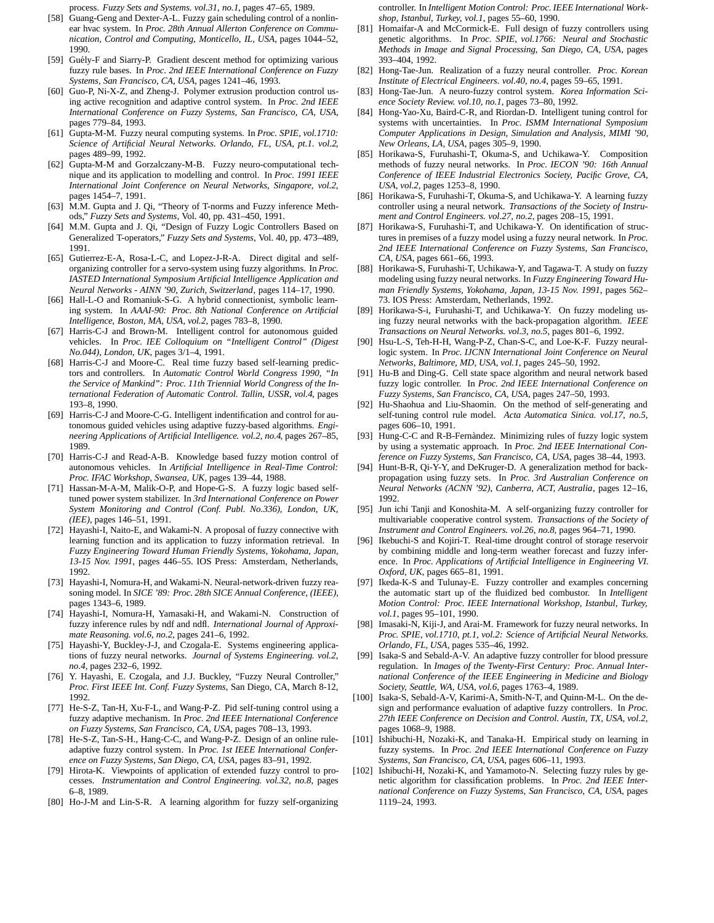process. *Fuzzy Sets and Systems. vol.31, no.1*, pages 47–65, 1989.

- [58] Guang-Geng and Dexter-A-L. Fuzzy gain scheduling control of a nonlinear hvac system. In *Proc. 28th Annual Allerton Conference on Communication, Control and Computing, Monticello, IL, USA*, pages 1044–52, 1990.
- [59] Guély-F and Siarry-P. Gradient descent method for optimizing various fuzzy rule bases. In *Proc. 2nd IEEE International Conference on Fuzzy Systems, San Francisco, CA, USA*, pages 1241–46, 1993.
- [60] Guo-P, Ni-X-Z, and Zheng-J. Polymer extrusion production control using active recognition and adaptive control system. In *Proc. 2nd IEEE International Conference on Fuzzy Systems, San Francisco, CA, USA*, pages 779–84, 1993.
- [61] Gupta-M-M. Fuzzy neural computing systems. In *Proc. SPIE, vol.1710: Science of Artificial Neural Networks. Orlando, FL, USA, pt.1. vol.2*, pages 489–99, 1992.
- [62] Gupta-M-M and Gorzalczany-M-B. Fuzzy neuro-computational technique and its application to modelling and control. In *Proc. 1991 IEEE International Joint Conference on Neural Networks, Singapore, vol.2*, pages 1454–7, 1991.
- [63] M.M. Gupta and J. Qi, "Theory of T-norms and Fuzzy inference Methods," *Fuzzy Sets and Systems*, Vol. 40, pp. 431–450, 1991.
- [64] M.M. Gupta and J. Qi, "Design of Fuzzy Logic Controllers Based on Generalized T-operators," *Fuzzy Sets and Systems*, Vol. 40, pp. 473–489, 1991.
- [65] Gutierrez-E-A, Rosa-L-C, and Lopez-J-R-A. Direct digital and selforganizing controller for a servo-system using fuzzy algorithms. In *Proc. IASTED International Symposium Artificial Intelligence Application and Neural Networks - AINN '90, Zurich, Switzerland*, pages 114–17, 1990.
- [66] Hall-L-O and Romaniuk-S-G. A hybrid connectionist, symbolic learning system. In *AAAI-90: Proc. 8th National Conference on Artificial Intelligence, Boston, MA, USA, vol.2*, pages 783–8, 1990.
- [67] Harris-C-J and Brown-M. Intelligent control for autonomous guided vehicles. In *Proc. IEE Colloquium on "Intelligent Control" (Digest No.044), London, UK*, pages 3/1–4, 1991.
- [68] Harris-C-J and Moore-C. Real time fuzzy based self-learning predictors and controllers. In *Automatic Control World Congress 1990, "In the Service of Mankind": Proc. 11th Triennial World Congress of the International Federation of Automatic Control. Tallin, USSR, vol.4*, pages 193–8, 1990.
- [69] Harris-C-J and Moore-C-G. Intelligent indentification and control for autonomous guided vehicles using adaptive fuzzy-based algorithms. *Engineering Applications of Artificial Intelligence. vol.2, no.4*, pages 267–85, 1989.
- [70] Harris-C-J and Read-A-B. Knowledge based fuzzy motion control of autonomous vehicles. In *Artificial Intelligence in Real-Time Control: Proc. IFAC Workshop, Swansea, UK*, pages 139–44, 1988.
- [71] Hassan-M-A-M, Malik-O-P, and Hope-G-S. A fuzzy logic based selftuned power system stabilizer. In *3rd International Conference on Power System Monitoring and Control (Conf. Publ. No.336), London, UK, (IEE)*, pages 146–51, 1991.
- [72] Hayashi-I, Naito-E, and Wakami-N. A proposal of fuzzy connective with learning function and its application to fuzzy information retrieval. In *Fuzzy Engineering Toward Human Friendly Systems, Yokohama, Japan, 13-15 Nov. 1991*, pages 446–55. IOS Press: Amsterdam, Netherlands, 1992.
- [73] Hayashi-I, Nomura-H, and Wakami-N. Neural-network-driven fuzzy reasoning model. In *SICE '89: Proc. 28th SICE Annual Conference, (IEEE)*, pages 1343–6, 1989.
- [74] Hayashi-I, Nomura-H, Yamasaki-H, and Wakami-N. Construction of fuzzy inference rules by ndf and ndfl. *International Journal of Approximate Reasoning. vol.6, no.2*, pages 241–6, 1992.
- [75] Hayashi-Y, Buckley-J-J, and Czogala-E. Systems engineering applications of fuzzy neural networks. *Journal of Systems Engineering. vol.2, no.4*, pages 232–6, 1992.
- [76] Y. Hayashi, E. Czogala, and J.J. Buckley, "Fuzzy Neural Controller," *Proc. First IEEE Int. Conf. Fuzzy Systems*, San Diego, CA, March 8-12, 1992.
- [77] He-S-Z, Tan-H, Xu-F-L, and Wang-P-Z. Pid self-tuning control using a fuzzy adaptive mechanism. In *Proc. 2nd IEEE International Conference on Fuzzy Systems, San Francisco, CA, USA*, pages 708–13, 1993.
- [78] He-S-Z, Tan-S-H., Hang-C-C, and Wang-P-Z. Design of an online ruleadaptive fuzzy control system. In *Proc. 1st IEEE International Conference on Fuzzy Systems, San Diego, CA, USA*, pages 83–91, 1992.
- [79] Hirota-K. Viewpoints of application of extended fuzzy control to processes. *Instrumentation and Control Engineering. vol.32, no.8*, pages 6–8, 1989.
- [80] Ho-J-M and Lin-S-R. A learning algorithm for fuzzy self-organizing

controller. In *Intelligent Motion Control: Proc. IEEE International Workshop, Istanbul, Turkey, vol.1*, pages 55–60, 1990.

- [81] Homaifar-A and McCormick-E. Full design of fuzzy controllers using genetic algorithms. In *Proc. SPIE, vol.1766: Neural and Stochastic Methods in Image and Signal Processing, San Diego, CA, USA*, pages 393–404, 1992.
- [82] Hong-Tae-Jun. Realization of a fuzzy neural controller. *Proc. Korean Institute of Electrical Engineers. vol.40, no.4*, pages 59–65, 1991.
- [83] Hong-Tae-Jun. A neuro-fuzzy control system. *Korea Information Science Society Review. vol.10, no.1*, pages 73–80, 1992.
- [84] Hong-Yao-Xu, Baird-C-R, and Riordan-D. Intelligent tuning control for systems with uncertainties. In *Proc. ISMM International Symposium Computer Applications in Design, Simulation and Analysis, MIMI '90, New Orleans, LA, USA*, pages 305–9, 1990.
- [85] Horikawa-S, Furuhashi-T, Okuma-S, and Uchikawa-Y. Composition methods of fuzzy neural networks. In *Proc. IECON '90: 16th Annual Conference of IEEE Industrial Electronics Society, Pacific Grove, CA, USA, vol.2*, pages 1253–8, 1990.
- [86] Horikawa-S, Furuhashi-T, Okuma-S, and Uchikawa-Y. A learning fuzzy controller using a neural network. *Transactions of the Society of Instrument and Control Engineers. vol.27, no.2*, pages 208–15, 1991.
- [87] Horikawa-S, Furuhashi-T, and Uchikawa-Y. On identification of structures in premises of a fuzzy model using a fuzzy neural network. In *Proc. 2nd IEEE International Conference on Fuzzy Systems, San Francisco, CA, USA*, pages 661–66, 1993.
- [88] Horikawa-S, Furuhashi-T, Uchikawa-Y, and Tagawa-T. A study on fuzzy modeling using fuzzy neural networks. In *Fuzzy Engineering Toward Human Friendly Systems, Yokohama, Japan, 13-15 Nov. 1991*, pages 562– 73. IOS Press: Amsterdam, Netherlands, 1992.
- [89] Horikawa-S-i, Furuhashi-T, and Uchikawa-Y. On fuzzy modeling using fuzzy neural networks with the back-propagation algorithm. *IEEE Transactions on Neural Networks. vol.3, no.5*, pages 801–6, 1992.
- [90] Hsu-L-S, Teh-H-H, Wang-P-Z, Chan-S-C, and Loe-K-F. Fuzzy neurallogic system. In *Proc. IJCNN International Joint Conference on Neural Networks, Baltimore, MD, USA, vol.1*, pages 245–50, 1992.
- [91] Hu-B and Ding-G. Cell state space algorithm and neural network based fuzzy logic controller. In *Proc. 2nd IEEE International Conference on Fuzzy Systems, San Francisco, CA, USA*, pages 247–50, 1993.
- [92] Hu-Shaohua and Liu-Shaomin. On the method of self-generating and self-tuning control rule model. *Acta Automatica Sinica. vol.17, no.5*, pages 606–10, 1991.
- [93] Hung-C-C and R-B-Fernàndez. Minimizing rules of fuzzy logic system by using a systematic approach. In *Proc. 2nd IEEE International Conference on Fuzzy Systems, San Francisco, CA, USA*, pages 38–44, 1993.
- [94] Hunt-B-R, Qi-Y-Y, and DeKruger-D. A generalization method for backpropagation using fuzzy sets. In *Proc. 3rd Australian Conference on Neural Networks (ACNN '92), Canberra, ACT, Australia*, pages 12–16, 1992.
- [95] Jun ichi Tanji and Konoshita-M. A self-organizing fuzzy controller for multivariable cooperative control system. *Transactions of the Society of Instrument and Control Engineers. vol.26, no.8*, pages 964–71, 1990.
- [96] Ikebuchi-S and Kojiri-T. Real-time drought control of storage reservoir by combining middle and long-term weather forecast and fuzzy inference. In *Proc. Applications of Artificial Intelligence in Engineering VI. Oxford, UK*, pages 665–81, 1991.
- [97] Ikeda-K-S and Tulunay-E. Fuzzy controller and examples concerning the automatic start up of the fluidized bed combustor. In *Intelligent Motion Control: Proc. IEEE International Workshop, Istanbul, Turkey, vol.1*, pages 95–101, 1990.
- [98] Imasaki-N, Kiji-J, and Arai-M. Framework for fuzzy neural networks. In *Proc. SPIE, vol.1710, pt.1, vol.2: Science of Artificial Neural Networks. Orlando, FL, USA*, pages 535–46, 1992.
- [99] Isaka-S and Sebald-A-V. An adaptive fuzzy controller for blood pressure regulation. In *Images of the Twenty-First Century: Proc. Annual International Conference of the IEEE Engineering in Medicine and Biology Society, Seattle, WA, USA, vol.6*, pages 1763–4, 1989.
- [100] Isaka-S, Sebald-A-V, Karimi-A, Smith-N-T, and Quinn-M-L. On the design and performance evaluation of adaptive fuzzy controllers. In *Proc. 27th IEEE Conference on Decision and Control. Austin, TX, USA, vol.2*, pages 1068–9, 1988.
- [101] Ishibuchi-H, Nozaki-K, and Tanaka-H. Empirical study on learning in fuzzy systems. In *Proc. 2nd IEEE International Conference on Fuzzy Systems, San Francisco, CA, USA*, pages 606–11, 1993.
- [102] Ishibuchi-H, Nozaki-K, and Yamamoto-N. Selecting fuzzy rules by genetic algorithm for classification problems. In *Proc. 2nd IEEE International Conference on Fuzzy Systems, San Francisco, CA, USA*, pages 1119–24, 1993.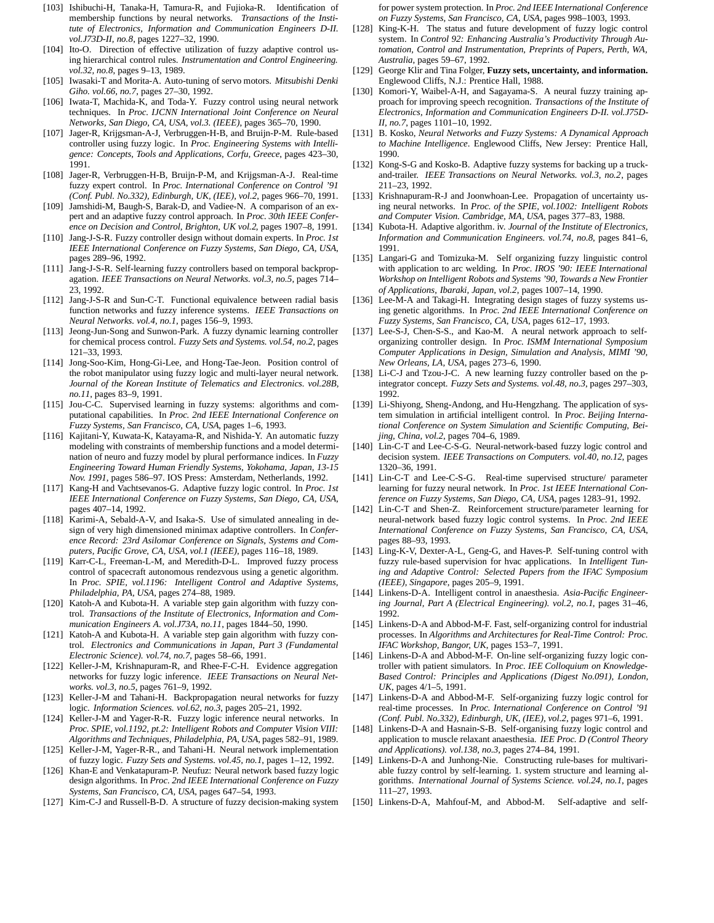- [103] Ishibuchi-H, Tanaka-H, Tamura-R, and Fujioka-R. Identification of membership functions by neural networks. *Transactions of the Institute of Electronics, Information and Communication Engineers D-II. vol.J73D-II, no.8*, pages 1227–32, 1990.
- [104] Ito-O. Direction of effective utilization of fuzzy adaptive control using hierarchical control rules. *Instrumentation and Control Engineering. vol.32, no.8*, pages 9–13, 1989.
- [105] Iwasaki-T and Morita-A. Auto-tuning of servo motors. *Mitsubishi Denki Giho. vol.66, no.7*, pages 27–30, 1992.
- [106] Iwata-T, Machida-K, and Toda-Y. Fuzzy control using neural network techniques. In *Proc. IJCNN International Joint Conference on Neural Networks, San Diego, CA, USA, vol.3. (IEEE)*, pages 365–70, 1990.
- [107] Jager-R, Krijgsman-A-J, Verbruggen-H-B, and Bruijn-P-M. Rule-based controller using fuzzy logic. In *Proc. Engineering Systems with Intelligence: Concepts, Tools and Applications, Corfu, Greece*, pages 423–30, 1991.
- [108] Jager-R, Verbruggen-H-B, Bruijn-P-M, and Krijgsman-A-J. Real-time fuzzy expert control. In *Proc. International Conference on Control '91 (Conf. Publ. No.332), Edinburgh, UK, (IEE), vol.2*, pages 966–70, 1991.
- [109] Jamshidi-M, Baugh-S, Barak-D, and Vadiee-N. A comparison of an expert and an adaptive fuzzy control approach. In *Proc. 30th IEEE Conference on Decision and Control, Brighton, UK vol.2*, pages 1907–8, 1991.
- [110] Jang-J-S-R. Fuzzy controller design without domain experts. In *Proc. 1st IEEE International Conference on Fuzzy Systems, San Diego, CA, USA*, pages 289–96, 1992.
- [111] Jang-J-S-R. Self-learning fuzzy controllers based on temporal backpropagation. *IEEE Transactions on Neural Networks. vol.3, no.5*, pages 714– 23, 1992.
- [112] Jang-J-S-R and Sun-C-T. Functional equivalence between radial basis function networks and fuzzy inference systems. *IEEE Transactions on Neural Networks. vol.4, no.1*, pages 156–9, 1993.
- [113] Jeong-Jun-Song and Sunwon-Park. A fuzzy dynamic learning controller for chemical process control. *Fuzzy Sets and Systems. vol.54, no.2*, pages 121–33, 1993.
- [114] Jong-Soo-Kim, Hong-Gi-Lee, and Hong-Tae-Jeon. Position control of the robot manipulator using fuzzy logic and multi-layer neural network. *Journal of the Korean Institute of Telematics and Electronics. vol.28B, no.11*, pages 83–9, 1991.
- [115] Jou-C-C. Supervised learning in fuzzy systems: algorithms and computational capabilities. In *Proc. 2nd IEEE International Conference on Fuzzy Systems, San Francisco, CA, USA*, pages 1–6, 1993.
- [116] Kajitani-Y, Kuwata-K, Katayama-R, and Nishida-Y. An automatic fuzzy modeling with constraints of membership functions and a model determination of neuro and fuzzy model by plural performance indices. In *Fuzzy Engineering Toward Human Friendly Systems, Yokohama, Japan, 13-15 Nov. 1991*, pages 586–97. IOS Press: Amsterdam, Netherlands, 1992.
- [117] Kang-H and Vachtsevanos-G. Adaptive fuzzy logic control. In *Proc. 1st IEEE International Conference on Fuzzy Systems, San Diego, CA, USA*, pages 407–14, 1992.
- [118] Karimi-A, Sebald-A-V, and Isaka-S. Use of simulated annealing in design of very high dimensioned minimax adaptive controllers. In *Conference Record: 23rd Asilomar Conference on Signals, Systems and Computers, Pacific Grove, CA, USA, vol.1 (IEEE)*, pages 116–18, 1989.
- [119] Karr-C-L, Freeman-L-M, and Meredith-D-L. Improved fuzzy process control of spacecraft autonomous rendezvous using a genetic algorithm. In *Proc. SPIE, vol.1196: Intelligent Control and Adaptive Systems, Philadelphia, PA, USA*, pages 274–88, 1989.
- [120] Katoh-A and Kubota-H. A variable step gain algorithm with fuzzy control. *Transactions of the Institute of Electronics, Information and Communication Engineers A. vol.J73A, no.11*, pages 1844–50, 1990.
- [121] Katoh-A and Kubota-H. A variable step gain algorithm with fuzzy control. *Electronics and Communications in Japan, Part 3 (Fundamental Electronic Science). vol.74, no.7*, pages 58–66, 1991.
- [122] Keller-J-M, Krishnapuram-R, and Rhee-F-C-H. Evidence aggregation networks for fuzzy logic inference. *IEEE Transactions on Neural Networks. vol.3, no.5*, pages 761–9, 1992.
- [123] Keller-J-M and Tahani-H. Backpropagation neural networks for fuzzy logic. *Information Sciences. vol.62, no.3*, pages 205–21, 1992.
- [124] Keller-J-M and Yager-R-R. Fuzzy logic inference neural networks. In *Proc. SPIE, vol.1192, pt.2: Intelligent Robots and Computer Vision VIII: Algorithms and Techniques, Philadelphia, PA, USA*, pages 582–91, 1989.
- [125] Keller-J-M, Yager-R-R., and Tahani-H. Neural network implementation of fuzzy logic. *Fuzzy Sets and Systems. vol.45, no.1*, pages 1–12, 1992.
- [126] Khan-E and Venkatapuram-P. Neufuz: Neural network based fuzzy logic design algorithms. In *Proc. 2nd IEEE International Conference on Fuzzy Systems, San Francisco, CA, USA*, pages 647–54, 1993.
- [127] Kim-C-J and Russell-B-D. A structure of fuzzy decision-making system

for power system protection. In *Proc. 2nd IEEE International Conference on Fuzzy Systems, San Francisco, CA, USA*, pages 998–1003, 1993.

- [128] King-K-H. The status and future development of fuzzy logic control system. In *Control 92: Enhancing Australia's Productivity Through Automation, Control and Instrumentation, Preprints of Papers, Perth, WA, Australia*, pages 59–67, 1992.
- [129] George Klir and Tina Folger, **Fuzzy sets, uncertainty, and information.** Englewood Cliffs, N.J.: Prentice Hall, 1988.
- [130] Komori-Y, Waibel-A-H, and Sagayama-S. A neural fuzzy training approach for improving speech recognition. *Transactions of the Institute of Electronics, Information and Communication Engineers D-II. vol.J75D-II, no.7*, pages 1101–10, 1992.
- [131] B. Kosko, *Neural Networks and Fuzzy Systems: A Dynamical Approach to Machine Intelligence*. Englewood Cliffs, New Jersey: Prentice Hall, 1990.
- [132] Kong-S-G and Kosko-B. Adaptive fuzzy systems for backing up a truckand-trailer. *IEEE Transactions on Neural Networks. vol.3, no.2*, pages 211–23, 1992.
- [133] Krishnapuram-R-J and Joonwhoan-Lee. Propagation of uncertainty using neural networks. In *Proc. of the SPIE, vol.1002: Intelligent Robots and Computer Vision. Cambridge, MA, USA*, pages 377–83, 1988.
- [134] Kubota-H. Adaptive algorithm. iv. *Journal of the Institute of Electronics, Information and Communication Engineers. vol.74, no.8*, pages 841–6, 1991.
- [135] Langari-G and Tomizuka-M. Self organizing fuzzy linguistic control with application to arc welding. In *Proc. IROS '90: IEEE International Workshop on Intelligent Robots and Systems '90, Towards a New Frontier of Applications, Ibaraki, Japan, vol.2*, pages 1007–14, 1990.
- [136] Lee-M-A and Takagi-H. Integrating design stages of fuzzy systems using genetic algorithms. In *Proc. 2nd IEEE International Conference on Fuzzy Systems, San Francisco, CA, USA*, pages 612–17, 1993.
- [137] Lee-S-J, Chen-S-S., and Kao-M. A neural network approach to selforganizing controller design. In *Proc. ISMM International Symposium Computer Applications in Design, Simulation and Analysis, MIMI '90, New Orleans, LA, USA*, pages 273–6, 1990.
- [138] Li-C-J and Tzou-J-C. A new learning fuzzy controller based on the pintegrator concept. *Fuzzy Sets and Systems. vol.48, no.3*, pages 297–303, 1992.
- [139] Li-Shiyong, Sheng-Andong, and Hu-Hengzhang. The application of system simulation in artificial intelligent control. In *Proc. Beijing International Conference on System Simulation and Scientific Computing, Beijing, China, vol.2*, pages 704–6, 1989.
- [140] Lin-C-T and Lee-C-S-G. Neural-network-based fuzzy logic control and decision system. *IEEE Transactions on Computers. vol.40, no.12*, pages 1320–36, 1991.
- [141] Lin-C-T and Lee-C-S-G. Real-time supervised structure/ parameter learning for fuzzy neural network. In *Proc. 1st IEEE International Conference on Fuzzy Systems, San Diego, CA, USA*, pages 1283–91, 1992.
- [142] Lin-C-T and Shen-Z. Reinforcement structure/parameter learning for neural-network based fuzzy logic control systems. In *Proc. 2nd IEEE International Conference on Fuzzy Systems, San Francisco, CA, USA*, pages 88–93, 1993.
- [143] Ling-K-V, Dexter-A-L, Geng-G, and Haves-P. Self-tuning control with fuzzy rule-based supervision for hvac applications. In *Intelligent Tuning and Adaptive Control: Selected Papers from the IFAC Symposium (IEEE), Singapore*, pages 205–9, 1991.
- [144] Linkens-D-A. Intelligent control in anaesthesia. *Asia-Pacific Engineering Journal, Part A (Electrical Engineering). vol.2, no.1*, pages 31–46, 1992.
- [145] Linkens-D-A and Abbod-M-F. Fast, self-organizing control for industrial processes. In *Algorithms and Architectures for Real-Time Control: Proc. IFAC Workshop, Bangor, UK*, pages 153–7, 1991.
- [146] Linkens-D-A and Abbod-M-F. On-line self-organizing fuzzy logic controller with patient simulators. In *Proc. IEE Colloquium on Knowledge-Based Control: Principles and Applications (Digest No.091), London, UK*, pages 4/1–5, 1991.
- [147] Linkens-D-A and Abbod-M-F. Self-organizing fuzzy logic control for real-time processes. In *Proc. International Conference on Control '91 (Conf. Publ. No.332), Edinburgh, UK, (IEE), vol.2*, pages 971–6, 1991.
- [148] Linkens-D-A and Hasnain-S-B. Self-organising fuzzy logic control and application to muscle relaxant anaesthesia. *IEE Proc. D (Control Theory and Applications). vol.138, no.3*, pages 274–84, 1991.
- [149] Linkens-D-A and Junhong-Nie. Constructing rule-bases for multivariable fuzzy control by self-learning. 1. system structure and learning algorithms. *International Journal of Systems Science. vol.24, no.1*, pages 111–27, 1993.
- [150] Linkens-D-A, Mahfouf-M, and Abbod-M. Self-adaptive and self-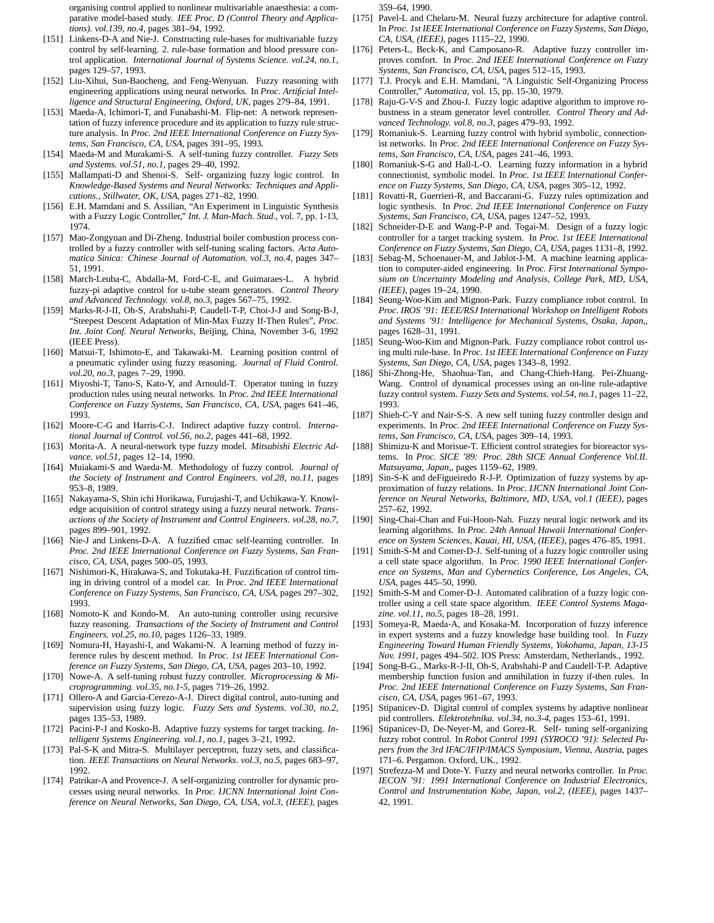organising control applied to nonlinear multivariable anaesthesia: a comparative model-based study. *IEE Proc. D (Control Theory and Applications). vol.139, no.4*, pages 381–94, 1992.

- [151] Linkens-D-A and Nie-J. Constructing rule-bases for multivariable fuzzy control by self-learning. 2. rule-base formation and blood pressure control application. *International Journal of Systems Science. vol.24, no.1*, pages 129–57, 1993.
- [152] Liu-Xihui, Sun-Baocheng, and Feng-Wenyuan. Fuzzy reasoning with engineering applications using neural networks. In *Proc. Artificial Intelligence and Structural Engineering, Oxford, UK*, pages 279–84, 1991.
- [153] Maeda-A, Ichimori-T, and Funabashi-M. Flip-net: A network representation of fuzzy inference procedure and its application to fuzzy rule structure analysis. In *Proc. 2nd IEEE International Conference on Fuzzy Systems, San Francisco, CA, USA*, pages 391–95, 1993.
- [154] Maeda-M and Murakami-S. A self-tuning fuzzy controller. *Fuzzy Sets and Systems. vol.51, no.1*, pages 29–40, 1992.
- [155] Mallampati-D and Shenoi-S. Self- organizing fuzzy logic control. In *Knowledge-Based Systems and Neural Networks: Techniques and Applications., Stillwater, OK, USA*, pages 271–82, 1990.
- [156] E.H. Mamdani and S. Assilian, "An Experiment in Linguistic Synthesis with a Fuzzy Logic Controller," *Int. J. Man-Mach. Stud.*, vol. 7, pp. 1-13, 1974.
- [157] Mao-Zongyuan and Di-Zheng. Industrial boiler combustion process controlled by a fuzzy controller with self-tuning scaling factors. *Acta Automatica Sinica: Chinese Journal of Automation. vol.3, no.4*, pages 347– 51, 1991.
- [158] March-Leuba-C, Abdalla-M, Ford-C-E, and Guimaraes-L. A hybrid fuzzy-pi adaptive control for u-tube steam generators. *Control Theory and Advanced Technology. vol.8, no.3*, pages 567–75, 1992.
- [159] Marks-R-J-II, Oh-S, Arabshahi-P, Caudell-T-P, Choi-J-J and Song-B-J, "Steepest Descent Adaptation of Min-Max Fuzzy If-Then Rules", *Proc. Int. Joint Conf. Neural Networks*, Beijing, China, November 3-6, 1992 (IEEE Press).
- [160] Matsui-T, Ishimoto-E, and Takawaki-M. Learning position control of a pneumatic cylinder using fuzzy reasoning. *Journal of Fluid Control. vol.20, no.3*, pages 7–29, 1990.
- [161] Miyoshi-T, Tano-S, Kato-Y, and Arnould-T. Operator tuning in fuzzy production rules using neural networks. In *Proc. 2nd IEEE International Conference on Fuzzy Systems, San Francisco, CA, USA*, pages 641–46, 1993.
- [162] Moore-C-G and Harris-C-J. Indirect adaptive fuzzy control. *International Journal of Control. vol.56, no.2*, pages 441–68, 1992.
- [163] Morita-A. A neural-network type fuzzy model. *Mitsubishi Electric Advance. vol.51*, pages 12–14, 1990.
- [164] Muiakami-S and Waeda-M. Methodology of fuzzy control. *Journal of the Society of Instrument and Control Engineers. vol.28, no.11*, pages 953–8, 1989.
- [165] Nakayama-S, Shin ichi Horikawa, Furujashi-T, and Uchikawa-Y. Knowledge acquisition of control strategy using a fuzzy neural network. *Transactions of the Society of Instrument and Control Engineers. vol.28, no.7*, pages 899–901, 1992.
- [166] Nie-J and Linkens-D-A. A fuzzified cmac self-learning controller. In *Proc. 2nd IEEE International Conference on Fuzzy Systems, San Francisco, CA, USA*, pages 500–05, 1993.
- [167] Nishimori-K, Hirakawa-S, and Tokutaka-H. Fuzzification of control timing in driving control of a model car. In *Proc. 2nd IEEE International Conference on Fuzzy Systems, San Francisco, CA, USA*, pages 297–302, 1993.
- [168] Nomoto-K and Kondo-M. An auto-tuning controller using recursive fuzzy reasoning. *Transactions of the Society of Instrument and Control Engineers. vol.25, no.10*, pages 1126–33, 1989.
- [169] Nomura-H, Hayashi-I, and Wakami-N. A learning method of fuzzy inference rules by descent method. In *Proc. 1st IEEE International Conference on Fuzzy Systems, San Diego, CA, USA*, pages 203–10, 1992.
- [170] Nowe-A. A self-tuning robust fuzzy controller. *Microprocessing & Microprogramming. vol.35, no.1-5*, pages 719–26, 1992.
- [171] Ollero-A and Garcia-Cerezo-A-J. Direct digital control, auto-tuning and supervision using fuzzy logic. *Fuzzy Sets and Systems. vol.30, no.2*, pages 135–53, 1989.
- [172] Pacini-P-J and Kosko-B. Adaptive fuzzy systems for target tracking. *Intelligent Systems Engineering. vol.1, no.1*, pages 3–21, 1992.
- [173] Pal-S-K and Mitra-S. Multilayer perceptron, fuzzy sets, and classification. *IEEE Transactions on Neural Networks. vol.3, no.5*, pages 683–97, 1992.
- [174] Patrikar-A and Provence-J. A self-organizing controller for dynamic processes using neural networks. In *Proc. IJCNN International Joint Conference on Neural Networks, San Diego, CA, USA, vol.3, (IEEE)*, pages

359–64, 1990.

- [175] Pavel-L and Chelaru-M. Neural fuzzy architecture for adaptive control. In *Proc. 1st IEEE International Conference on Fuzzy Systems, San Diego, CA, USA, (IEEE)*, pages 1115–22, 1990.
- [176] Peters-L, Beck-K, and Camposano-R. Adaptive fuzzy controller improves comfort. In *Proc. 2nd IEEE International Conference on Fuzzy Systems, San Francisco, CA, USA*, pages 512–15, 1993.
- [177] T.J. Procyk and E.H. Mamdani, "A Linguistic Self-Organizing Process Controller," *Automatica,* vol. 15, pp. 15-30, 1979.
- [178] Raju-G-V-S and Zhou-J. Fuzzy logic adaptive algorithm to improve robustness in a steam generator level controller. *Control Theory and Advanced Technology. vol.8, no.3*, pages 479–93, 1992.
- [179] Romaniuk-S. Learning fuzzy control with hybrid symbolic, connectionist networks. In *Proc. 2nd IEEE International Conference on Fuzzy Systems, San Francisco, CA, USA*, pages 241–46, 1993.
- [180] Romaniuk-S-G and Hall-L-O. Learning fuzzy information in a hybrid connectionist, symbolic model. In *Proc. 1st IEEE International Conference on Fuzzy Systems, San Diego, CA, USA*, pages 305–12, 1992.
- [181] Rovatti-R, Guerrieri-R, and Baccarani-G. Fuzzy rules optimization and logic synthesis. In *Proc. 2nd IEEE International Conference on Fuzzy Systems, San Francisco, CA, USA*, pages 1247–52, 1993.
- [182] Schneider-D-E and Wang-P-P and. Togai-M. Design of a fuzzy logic controller for a target tracking system. In *Proc. 1st IEEE International Conference on Fuzzy Systems, San Diego, CA, USA*, pages 1131–8, 1992.
- [183] Sebag-M, Schoenauer-M, and Jablot-J-M. A machine learning application to computer-aided engineering. In *Proc. First International Symposium on Uncertainty Modeling and Analysis, College Park, MD, USA, (IEEE)*, pages 19–24, 1990.
- [184] Seung-Woo-Kim and Mignon-Park. Fuzzy compliance robot control. In *Proc. IROS '91: IEEE/RSJ International Workshop on Intelligent Robots and Systems '91: Intelligence for Mechanical Systems, Osaka, Japan,*, pages 1628–31, 1991.
- [185] Seung-Woo-Kim and Mignon-Park. Fuzzy compliance robot control using multi rule-base. In *Proc. 1st IEEE International Conference on Fuzzy Systems, San Diego, CA, USA*, pages 1343–8, 1992.
- [186] Shi-Zhong-He, Shaohua-Tan, and Chang-Chieh-Hang. Pei-Zhuang-Wang. Control of dynamical processes using an on-line rule-adaptive fuzzy control system. *Fuzzy Sets and Systems. vol.54, no.1*, pages 11–22, 1993.
- [187] Shieh-C-Y and Nair-S-S. A new self tuning fuzzy controller design and experiments. In *Proc. 2nd IEEE International Conference on Fuzzy Systems, San Francisco, CA, USA*, pages 309–14, 1993.
- [188] Shimizu-K and Morisue-T. Efficient control strategies for bioreactor systems. In *Proc. SICE '89: Proc. 28th SICE Annual Conference Vol.II. Matsuyama, Japan,*, pages 1159–62, 1989.
- [189] Sin-S-K and deFigueiredo R-J-P. Optimization of fuzzy systems by approximation of fuzzy relations. In *Proc. IJCNN International Joint Conference on Neural Networks, Baltimore, MD, USA, vol.1 (IEEE)*, pages 257–62, 1992.
- [190] Sing-Chai-Chan and Fui-Hoon-Nah. Fuzzy neural logic network and its learning algorithms. In *Proc. 24th Annual Hawaii International Conference on System Sciences, Kauai, HI, USA, (IEEE)*, pages 476–85, 1991.
- [191] Smith-S-M and Comer-D-J. Self-tuning of a fuzzy logic controller using a cell state space algorithm. In *Proc. 1990 IEEE International Conference on Systems, Man and Cybernetics Conference, Los Angeles, CA, USA*, pages 445–50, 1990.
- [192] Smith-S-M and Comer-D-J. Automated calibration of a fuzzy logic controller using a cell state space algorithm. *IEEE Control Systems Magazine. vol.11, no.5*, pages 18–28, 1991.
- [193] Someya-R, Maeda-A, and Kosaka-M. Incorporation of fuzzy inference in expert systems and a fuzzy knowledge base building tool. In *Fuzzy Engineering Toward Human Friendly Systems, Yokohama, Japan, 13-15 Nov. 1991*, pages 494–502. IOS Press: Amsterdam, Netherlands., 1992.
- [194] Song-B-G., Marks-R-J-II, Oh-S, Arabshahi-P and Caudell-T-P. Adaptive membership function fusion and annihilation in fuzzy if-then rules. In *Proc. 2nd IEEE International Conference on Fuzzy Systems, San Francisco, CA, USA*, pages 961–67, 1993.
- [195] Stipanicev-D. Digital control of complex systems by adaptive nonlinear pid controllers. *Elektrotehnika. vol.34, no.3-4*, pages 153–61, 1991.
- [196] Stipanicev-D, De-Neyer-M, and Gorez-R. Self- tuning self-organizing fuzzy robot control. In *Robot Control 1991 (SYROCO '91): Selected Papers from the 3rd IFAC/IFIP/IMACS Symposium, Vienna, Austria*, pages 171–6. Pergamon. Oxford, UK., 1992.
- [197] Strefezza-M and Dote-Y. Fuzzy and neural networks controller. In *Proc. IECON '91: 1991 International Conference on Industrial Electronics, Control and Instrumentation Kobe, Japan, vol.2, (IEEE)*, pages 1437– 42, 1991.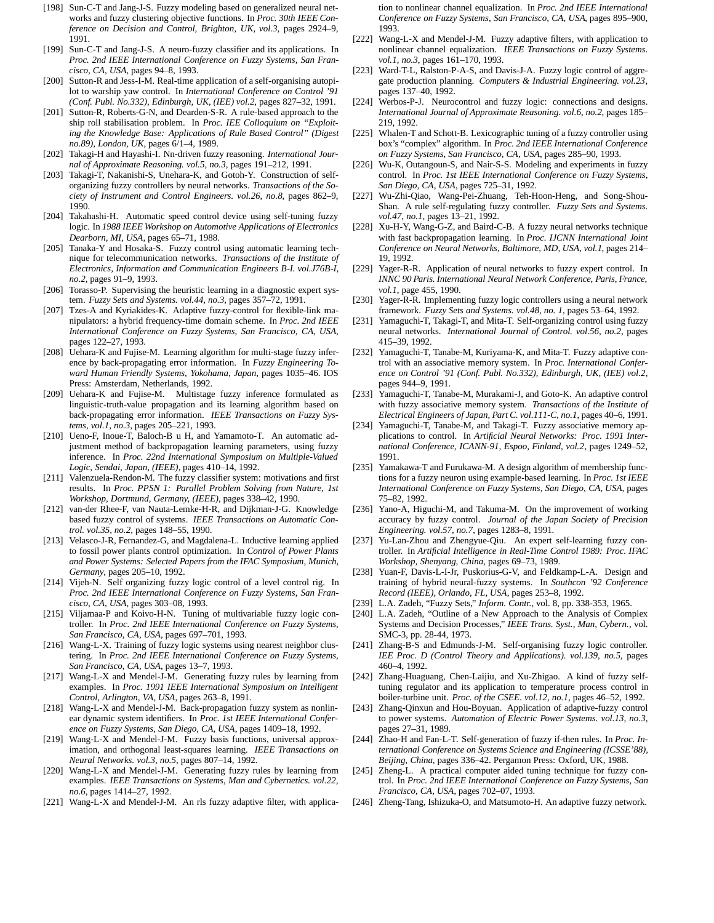- [198] Sun-C-T and Jang-J-S. Fuzzy modeling based on generalized neural networks and fuzzy clustering objective functions. In *Proc. 30th IEEE Conference on Decision and Control, Brighton, UK, vol.3*, pages 2924–9, 1991.
- [199] Sun-C-T and Jang-J-S. A neuro-fuzzy classifier and its applications. In *Proc. 2nd IEEE International Conference on Fuzzy Systems, San Francisco, CA, USA*, pages 94–8, 1993.
- [200] Sutton-R and Jess-I-M. Real-time application of a self-organising autopilot to warship yaw control. In *International Conference on Control '91 (Conf. Publ. No.332), Edinburgh, UK, (IEE) vol.2*, pages 827–32, 1991.
- [201] Sutton-R, Roberts-G-N, and Dearden-S-R. A rule-based approach to the ship roll stabilisation problem. In *Proc. IEE Colloquium on "Exploiting the Knowledge Base: Applications of Rule Based Control" (Digest no.89), London, UK*, pages 6/1–4, 1989.
- [202] Takagi-H and Hayashi-I. Nn-driven fuzzy reasoning. *International Journal of Approximate Reasoning. vol.5, no.3*, pages 191–212, 1991.
- [203] Takagi-T, Nakanishi-S, Unehara-K, and Gotoh-Y. Construction of selforganizing fuzzy controllers by neural networks. *Transactions of the Society of Instrument and Control Engineers. vol.26, no.8*, pages 862–9, 1990.
- [204] Takahashi-H. Automatic speed control device using self-tuning fuzzy logic. In *1988 IEEE Workshop on Automotive Applications of Electronics Dearborn, MI, USA*, pages 65–71, 1988.
- [205] Tanaka-Y and Hosaka-S. Fuzzy control using automatic learning technique for telecommunication networks. *Transactions of the Institute of Electronics, Information and Communication Engineers B-I. vol.J76B-I, no.2*, pages 91–9, 1993.
- [206] Torasso-P. Supervising the heuristic learning in a diagnostic expert system. *Fuzzy Sets and Systems. vol.44, no.3*, pages 357–72, 1991.
- [207] Tzes-A and Kyriakides-K. Adaptive fuzzy-control for flexible-link manipulators: a hybrid frequency-time domain scheme. In *Proc. 2nd IEEE International Conference on Fuzzy Systems, San Francisco, CA, USA*, pages 122–27, 1993.
- [208] Uehara-K and Fujise-M. Learning algorithm for multi-stage fuzzy inference by back-propagating error information. In *Fuzzy Engineering Toward Human Friendly Systems, Yokohama, Japan*, pages 1035–46. IOS Press: Amsterdam, Netherlands, 1992.
- [209] Uehara-K and Fujise-M. Multistage fuzzy inference formulated as linguistic-truth-value propagation and its learning algorithm based on back-propagating error information. *IEEE Transactions on Fuzzy Systems, vol.1, no.3*, pages 205–221, 1993.
- [210] Ueno-F, Inoue-T, Baloch-B u H, and Yamamoto-T. An automatic adjustment method of backpropagation learning parameters, using fuzzy inference. In *Proc. 22nd International Symposium on Multiple-Valued Logic, Sendai, Japan, (IEEE)*, pages 410–14, 1992.
- [211] Valenzuela-Rendon-M. The fuzzy classifier system: motivations and first results. In *Proc. PPSN 1: Parallel Problem Solving from Nature, 1st Workshop, Dortmund, Germany, (IEEE)*, pages 338–42, 1990.
- [212] van-der Rhee-F, van Nauta-Lemke-H-R, and Dijkman-J-G. Knowledge based fuzzy control of systems. *IEEE Transactions on Automatic Control. vol.35, no.2*, pages 148–55, 1990.
- [213] Velasco-J-R, Fernandez-G, and Magdalena-L. Inductive learning applied to fossil power plants control optimization. In *Control of Power Plants and Power Systems: Selected Papers from the IFAC Symposium, Munich, Germany*, pages 205–10, 1992.
- [214] Vijeh-N. Self organizing fuzzy logic control of a level control rig. In *Proc. 2nd IEEE International Conference on Fuzzy Systems, San Francisco, CA, USA*, pages 303–08, 1993.
- [215] Viljamaa-P and Koivo-H-N. Tuning of multivariable fuzzy logic controller. In *Proc. 2nd IEEE International Conference on Fuzzy Systems, San Francisco, CA, USA*, pages 697–701, 1993.
- [216] Wang-L-X. Training of fuzzy logic systems using nearest neighbor clustering. In *Proc. 2nd IEEE International Conference on Fuzzy Systems, San Francisco, CA, USA*, pages 13–7, 1993.
- [217] Wang-L-X and Mendel-J-M. Generating fuzzy rules by learning from examples. In *Proc. 1991 IEEE International Symposium on Intelligent Control, Arlington, VA, USA*, pages 263–8, 1991.
- [218] Wang-L-X and Mendel-J-M. Back-propagation fuzzy system as nonlinear dynamic system identifiers. In *Proc. 1st IEEE International Conference on Fuzzy Systems, San Diego, CA, USA*, pages 1409–18, 1992.
- [219] Wang-L-X and Mendel-J-M. Fuzzy basis functions, universal approximation, and orthogonal least-squares learning. *IEEE Transactions on Neural Networks. vol.3, no.5*, pages 807–14, 1992.
- [220] Wang-L-X and Mendel-J-M. Generating fuzzy rules by learning from examples. *IEEE Transactions on Systems, Man and Cybernetics. vol.22, no.6*, pages 1414–27, 1992.
- [221] Wang-L-X and Mendel-J-M. An rls fuzzy adaptive filter, with applica-

tion to nonlinear channel equalization. In *Proc. 2nd IEEE International Conference on Fuzzy Systems, San Francisco, CA, USA*, pages 895–900, 1993.

- [222] Wang-L-X and Mendel-J-M. Fuzzy adaptive filters, with application to nonlinear channel equalization. *IEEE Transactions on Fuzzy Systems. vol.1, no.3*, pages 161–170, 1993.
- [223] Ward-T-L, Ralston-P-A-S, and Davis-J-A. Fuzzy logic control of aggregate production planning. *Computers & Industrial Engineering. vol.23*, pages 137–40, 1992.
- [224] Werbos-P-J. Neurocontrol and fuzzy logic: connections and designs. *International Journal of Approximate Reasoning. vol.6, no.2*, pages 185– 219, 1992.
- [225] Whalen-T and Schott-B. Lexicographic tuning of a fuzzy controller using box's "complex" algorithm. In *Proc. 2nd IEEE International Conference on Fuzzy Systems, San Francisco, CA, USA*, pages 285–90, 1993.
- [226] Wu-K, Outangoun-S, and Nair-S-S. Modeling and experiments in fuzzy control. In *Proc. 1st IEEE International Conference on Fuzzy Systems, San Diego, CA, USA*, pages 725–31, 1992.
- [227] Wu-Zhi-Qiao, Wang-Pei-Zhuang, Teh-Hoon-Heng, and Song-Shou-Shan. A rule self-regulating fuzzy controller. *Fuzzy Sets and Systems. vol.47, no.1*, pages 13–21, 1992.
- [228] Xu-H-Y, Wang-G-Z, and Baird-C-B. A fuzzy neural networks technique with fast backpropagation learning. In *Proc. IJCNN International Joint Conference on Neural Networks, Baltimore, MD, USA, vol.1*, pages 214– 19, 1992.
- [229] Yager-R-R. Application of neural networks to fuzzy expert control. In *INNC 90 Paris. International Neural Network Conference, Paris, France, vol.1*, page 455, 1990.
- [230] Yager-R-R. Implementing fuzzy logic controllers using a neural network framework. *Fuzzy Sets and Systems. vol.48, no. 1*, pages 53–64, 1992.
- [231] Yamaguchi-T, Takagi-T, and Mita-T. Self-organizing control using fuzzy neural networks. *International Journal of Control. vol.56, no.2*, pages 415–39, 1992.
- [232] Yamaguchi-T, Tanabe-M, Kuriyama-K, and Mita-T. Fuzzy adaptive control with an associative memory system. In *Proc. International Conference on Control '91 (Conf. Publ. No.332), Edinburgh, UK, (IEE) vol.2*, pages 944–9, 1991.
- [233] Yamaguchi-T, Tanabe-M, Murakami-J, and Goto-K. An adaptive control with fuzzy associative memory system. *Transactions of the Institute of Electrical Engineers of Japan, Part C. vol.111-C, no.1*, pages 40–6, 1991.
- [234] Yamaguchi-T, Tanabe-M, and Takagi-T. Fuzzy associative memory applications to control. In *Artificial Neural Networks: Proc. 1991 International Conference, ICANN-91, Espoo, Finland, vol.2*, pages 1249–52, 1991.
- [235] Yamakawa-T and Furukawa-M. A design algorithm of membership functions for a fuzzy neuron using example-based learning. In *Proc. 1st IEEE International Conference on Fuzzy Systems, San Diego, CA, USA*, pages 75–82, 1992.
- [236] Yano-A, Higuchi-M, and Takuma-M. On the improvement of working accuracy by fuzzy control. *Journal of the Japan Society of Precision Engineering. vol.57, no.7*, pages 1283–8, 1991.
- Yu-Lan-Zhou and Zhengyue-Qiu. An expert self-learning fuzzy controller. In *Artificial Intelligence in Real-Time Control 1989: Proc. IFAC Workshop, Shenyang, China*, pages 69–73, 1989.
- [238] Yuan-F, Davis-L-I-Jr, Puskorius-G-V, and Feldkamp-L-A. Design and training of hybrid neural-fuzzy systems. In *Southcon '92 Conference Record (IEEE), Orlando, FL, USA*, pages 253–8, 1992.
- [239] L.A. Zadeh, "Fuzzy Sets," *Inform. Contr.,* vol. 8, pp. 338-353, 1965.
- [240] L.A. Zadeh, "Outline of a New Approach to the Analysis of Complex Systems and Decision Processes," *IEEE Trans. Syst., Man, Cybern.,* vol. SMC-3, pp. 28-44, 1973.
- [241] Zhang-B-S and Edmunds-J-M. Self-organising fuzzy logic controller. *IEE Proc. D (Control Theory and Applications). vol.139, no.5*, pages 460–4, 1992.
- [242] Zhang-Huaguang, Chen-Laijiu, and Xu-Zhigao. A kind of fuzzy selftuning regulator and its application to temperature process control in boiler-turbine unit. *Proc. of the CSEE. vol.12, no.1*, pages 46–52, 1992.
- [243] Zhang-Qinxun and Hou-Boyuan. Application of adaptive-fuzzy control to power systems. *Automation of Electric Power Systems. vol.13, no.3*, pages 27–31, 1989.
- [244] Zhao-H and Fan-L-T. Self-generation of fuzzy if-then rules. In *Proc. International Conference on Systems Science and Engineering (ICSSE'88), Beijing, China*, pages 336–42. Pergamon Press: Oxford, UK, 1988.
- [245] Zheng-L. A practical computer aided tuning technique for fuzzy control. In *Proc. 2nd IEEE International Conference on Fuzzy Systems, San Francisco, CA, USA*, pages 702–07, 1993.
- [246] Zheng-Tang, Ishizuka-O, and Matsumoto-H. An adaptive fuzzy network.